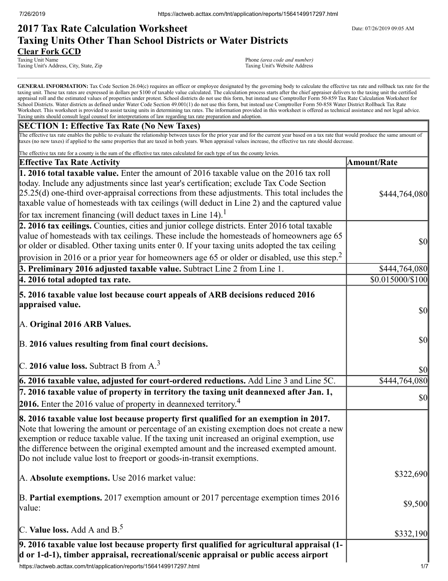# **2017 Tax Rate Calculation Worksheet** Determines the Date: 07/26/2019 09:05 AM **Taxing Units Other Than School Districts or Water Districts Clear Fork GCD**

Taxing Unit Name **Taxing Unit Name** Phone *(area code and number)*<br>
Taxing Unit's Address, City, State, Zip **Phone** *(area code and number)*<br>
Taxing Unit's Website Address Taxing Unit's Address, City, State, Zip

GENERAL INFORMATION: Tax Code Section 26.04(c) requires an officer or employee designated by the governing body to calculate the effective tax rate and rollback tax rate for the taxing unit. These tax rates are expressed in dollars per \$100 of taxable value calculated. The calculation process starts after the chief appraiser delivers to the taxing unit the certified appraisal roll and the estimated values of properties under protest. School districts do not use this form, but instead use Comptroller Form 50-859 Tax Rate Calculation Worksheet for School Districts. Water districts as defined under Water Code Section 49.001(1) do not use this form, but instead use Comptroller Form 50-858 Water District Rollback Tax Rate Worksheet. This worksheet is provided to assist taxing units in determining tax rates. The information provided in this worksheet is offered as technical assistance and not legal advice. Taxing units should consult legal counsel for interpretations of law regarding tax rate preparation and adoption.

## **SECTION 1: Effective Tax Rate (No New Taxes)**

The effective tax rate enables the public to evaluate the relationship between taxes for the prior year and for the current year based on a tax rate that would produce the same amount of taxes (no new taxes) if applied to the same properties that are taxed in both years. When appraisal values increase, the effective tax rate should decrease.

| The effective tax rate for a county is the sum of the effective tax rates calculated for each type of tax the county levies.<br><b>Effective Tax Rate Activity</b>                                                                                                                                                                                                                                                                                   | <b>Amount/Rate</b>                  |
|------------------------------------------------------------------------------------------------------------------------------------------------------------------------------------------------------------------------------------------------------------------------------------------------------------------------------------------------------------------------------------------------------------------------------------------------------|-------------------------------------|
| 1. 2016 total taxable value. Enter the amount of 2016 taxable value on the 2016 tax roll                                                                                                                                                                                                                                                                                                                                                             |                                     |
| today. Include any adjustments since last year's certification; exclude Tax Code Section<br>$[25.25(d)$ one-third over-appraisal corrections from these adjustments. This total includes the<br>taxable value of homesteads with tax ceilings (will deduct in Line 2) and the captured value                                                                                                                                                         | \$444,764,080                       |
| for tax increment financing (will deduct taxes in Line 14). <sup>1</sup>                                                                                                                                                                                                                                                                                                                                                                             |                                     |
| 2. 2016 tax ceilings. Counties, cities and junior college districts. Enter 2016 total taxable<br>value of homesteads with tax ceilings. These include the homesteads of homeowners age 65<br>or older or disabled. Other taxing units enter 0. If your taxing units adopted the tax ceiling                                                                                                                                                          | $\sqrt{50}$                         |
| provision in 2016 or a prior year for homeowners age 65 or older or disabled, use this step. <sup>2</sup>                                                                                                                                                                                                                                                                                                                                            |                                     |
| 3. Preliminary 2016 adjusted taxable value. Subtract Line 2 from Line 1.                                                                                                                                                                                                                                                                                                                                                                             | \$444,764,080                       |
| 4. 2016 total adopted tax rate.                                                                                                                                                                                                                                                                                                                                                                                                                      | \$0.015000/\$100                    |
| 5. 2016 taxable value lost because court appeals of ARB decisions reduced 2016<br>appraised value.<br>A. Original 2016 ARB Values.                                                                                                                                                                                                                                                                                                                   | $\sqrt{50}$                         |
|                                                                                                                                                                                                                                                                                                                                                                                                                                                      |                                     |
| B. 2016 values resulting from final court decisions.                                                                                                                                                                                                                                                                                                                                                                                                 | $\vert \mathbf{S} \mathbf{0} \vert$ |
| C. 2016 value loss. Subtract B from $A3$                                                                                                                                                                                                                                                                                                                                                                                                             | \$0                                 |
| 6. 2016 taxable value, adjusted for court-ordered reductions. Add Line 3 and Line 5C.                                                                                                                                                                                                                                                                                                                                                                | \$444,764,080                       |
| 7. 2016 taxable value of property in territory the taxing unit deannexed after Jan. 1,<br><b>2016.</b> Enter the 2016 value of property in deannexed territory. <sup>4</sup>                                                                                                                                                                                                                                                                         | $\sqrt{50}$                         |
| 8. 2016 taxable value lost because property first qualified for an exemption in 2017.<br>Note that lowering the amount or percentage of an existing exemption does not create a new<br>exemption or reduce taxable value. If the taxing unit increased an original exemption, use<br>the difference between the original exempted amount and the increased exempted amount.<br>Do not include value lost to freeport or goods-in-transit exemptions. |                                     |
| A. Absolute exemptions. Use 2016 market value:                                                                                                                                                                                                                                                                                                                                                                                                       | \$322,690                           |
| $\mathbb B$ . Partial exemptions. 2017 exemption amount or 2017 percentage exemption times 2016<br>value:                                                                                                                                                                                                                                                                                                                                            | \$9,500                             |
| C. Value loss. Add A and $B^5$ .                                                                                                                                                                                                                                                                                                                                                                                                                     | \$332,190                           |
| 9. 2016 taxable value lost because property first qualified for agricultural appraisal (1-<br>d or 1-d-1), timber appraisal, recreational/scenic appraisal or public access airport<br>https://actweb.acttax.com/tnt/application/reports/1564149917297.html                                                                                                                                                                                          | 1/7                                 |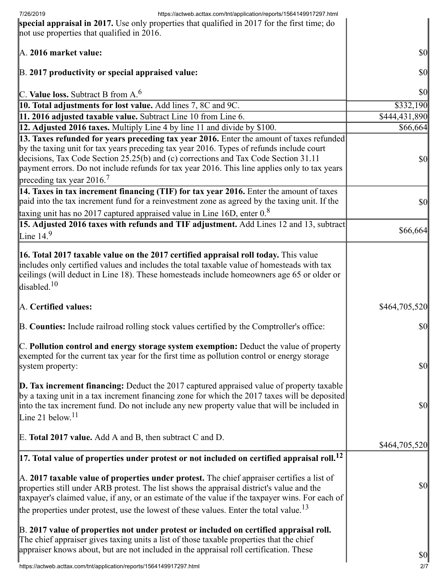| https://actweb.acttax.com/tnt/application/reports/1564149917297.html<br>7/26/2019                                                                                                                                                                                                                                                                                                                |                                     |
|--------------------------------------------------------------------------------------------------------------------------------------------------------------------------------------------------------------------------------------------------------------------------------------------------------------------------------------------------------------------------------------------------|-------------------------------------|
| special appraisal in 2017. Use only properties that qualified in 2017 for the first time; do<br>not use properties that qualified in 2016.                                                                                                                                                                                                                                                       |                                     |
|                                                                                                                                                                                                                                                                                                                                                                                                  |                                     |
| A. 2016 market value:                                                                                                                                                                                                                                                                                                                                                                            | \$0                                 |
| B. 2017 productivity or special appraised value:                                                                                                                                                                                                                                                                                                                                                 | \$0                                 |
| C. Value loss. Subtract B from $A^6$ .                                                                                                                                                                                                                                                                                                                                                           | \$0                                 |
| 10. Total adjustments for lost value. Add lines 7, 8C and 9C.                                                                                                                                                                                                                                                                                                                                    | \$332,190                           |
| 11. 2016 adjusted taxable value. Subtract Line 10 from Line 6.                                                                                                                                                                                                                                                                                                                                   | \$444,431,890                       |
| 12. Adjusted 2016 taxes. Multiply Line 4 by line 11 and divide by \$100.                                                                                                                                                                                                                                                                                                                         | \$66,664                            |
| 13. Taxes refunded for years preceding tax year 2016. Enter the amount of taxes refunded<br>by the taxing unit for tax years preceding tax year 2016. Types of refunds include court<br>decisions, Tax Code Section 25.25(b) and (c) corrections and Tax Code Section 31.11<br>payment errors. Do not include refunds for tax year 2016. This line applies only to tax years                     | \$0                                 |
| preceding tax year 2016. <sup>7</sup>                                                                                                                                                                                                                                                                                                                                                            |                                     |
| 14. Taxes in tax increment financing (TIF) for tax year 2016. Enter the amount of taxes<br>paid into the tax increment fund for a reinvestment zone as agreed by the taxing unit. If the<br>taxing unit has no 2017 captured appraised value in Line 16D, enter $0.8$                                                                                                                            | \$0                                 |
| 15. Adjusted 2016 taxes with refunds and TIF adjustment. Add Lines 12 and 13, subtract                                                                                                                                                                                                                                                                                                           |                                     |
| Line $14.9$                                                                                                                                                                                                                                                                                                                                                                                      | \$66,664                            |
| 16. Total 2017 taxable value on the 2017 certified appraisal roll today. This value<br>includes only certified values and includes the total taxable value of homesteads with tax<br>ceilings (will deduct in Line 18). These homesteads include homeowners age 65 or older or<br>disabled. <sup>10</sup>                                                                                        |                                     |
| A. Certified values:                                                                                                                                                                                                                                                                                                                                                                             | \$464,705,520                       |
| B. Counties: Include railroad rolling stock values certified by the Comptroller's office:                                                                                                                                                                                                                                                                                                        | \$0                                 |
| C. Pollution control and energy storage system exemption: Deduct the value of property<br>exempted for the current tax year for the first time as pollution control or energy storage<br>system property:                                                                                                                                                                                        | $\vert \mathbf{S} \mathbf{0} \vert$ |
| <b>D. Tax increment financing:</b> Deduct the 2017 captured appraised value of property taxable<br>by a taxing unit in a tax increment financing zone for which the 2017 taxes will be deposited<br>into the tax increment fund. Do not include any new property value that will be included in<br>Line 21 below. <sup>11</sup>                                                                  | \$0                                 |
| E. Total 2017 value. Add A and B, then subtract C and D.                                                                                                                                                                                                                                                                                                                                         | \$464,705,520                       |
| $\left 17.\right.$ Total value of properties under protest or not included on certified appraisal roll. $^{12}$                                                                                                                                                                                                                                                                                  |                                     |
| A. 2017 taxable value of properties under protest. The chief appraiser certifies a list of<br>properties still under ARB protest. The list shows the appraisal district's value and the<br>taxpayer's claimed value, if any, or an estimate of the value if the taxpayer wins. For each of<br>the properties under protest, use the lowest of these values. Enter the total value. <sup>13</sup> | \$0                                 |
|                                                                                                                                                                                                                                                                                                                                                                                                  |                                     |
| B. 2017 value of properties not under protest or included on certified appraisal roll.<br>The chief appraiser gives taxing units a list of those taxable properties that the chief<br>appraiser knows about, but are not included in the appraisal roll certification. These                                                                                                                     | $\vert \mathbf{S} \mathbf{0} \vert$ |
| https://actweb.acttax.com/tnt/application/reports/1564149917297.html                                                                                                                                                                                                                                                                                                                             | 2/7                                 |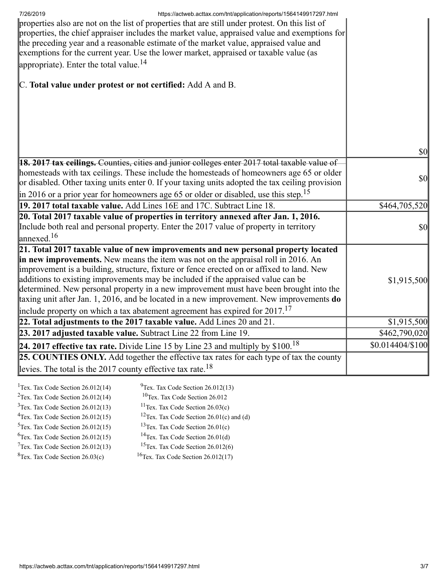| 7/26/2019<br>https://actweb.acttax.com/tnt/application/reports/1564149917297.html<br>properties also are not on the list of properties that are still under protest. On this list of<br>properties, the chief appraiser includes the market value, appraised value and exemptions for<br>the preceding year and a reasonable estimate of the market value, appraised value and<br>exemptions for the current year. Use the lower market, appraised or taxable value (as<br>appropriate). Enter the total value. <sup>14</sup> |                                     |
|-------------------------------------------------------------------------------------------------------------------------------------------------------------------------------------------------------------------------------------------------------------------------------------------------------------------------------------------------------------------------------------------------------------------------------------------------------------------------------------------------------------------------------|-------------------------------------|
| C. Total value under protest or not certified: Add A and B.                                                                                                                                                                                                                                                                                                                                                                                                                                                                   |                                     |
|                                                                                                                                                                                                                                                                                                                                                                                                                                                                                                                               |                                     |
|                                                                                                                                                                                                                                                                                                                                                                                                                                                                                                                               |                                     |
|                                                                                                                                                                                                                                                                                                                                                                                                                                                                                                                               | $\vert \mathbf{S} \mathbf{0} \vert$ |
| <b>18. 2017 tax ceilings.</b> Counties, cities and junior colleges enter 2017 total taxable value of                                                                                                                                                                                                                                                                                                                                                                                                                          |                                     |
| homesteads with tax ceilings. These include the homesteads of homeowners age 65 or older                                                                                                                                                                                                                                                                                                                                                                                                                                      |                                     |
| or disabled. Other taxing units enter 0. If your taxing units adopted the tax ceiling provision                                                                                                                                                                                                                                                                                                                                                                                                                               | $\vert \mathbf{S} \mathbf{O} \vert$ |
| in 2016 or a prior year for homeowners age 65 or older or disabled, use this step. <sup>15</sup>                                                                                                                                                                                                                                                                                                                                                                                                                              |                                     |
| 19. 2017 total taxable value. Add Lines 16E and 17C. Subtract Line 18.                                                                                                                                                                                                                                                                                                                                                                                                                                                        | \$464,705,520                       |
| 20. Total 2017 taxable value of properties in territory annexed after Jan. 1, 2016.                                                                                                                                                                                                                                                                                                                                                                                                                                           |                                     |
| Include both real and personal property. Enter the 2017 value of property in territory                                                                                                                                                                                                                                                                                                                                                                                                                                        | $\vert \mathbf{S} \mathbf{O} \vert$ |
| $\lvert$ annexed. <sup>16</sup>                                                                                                                                                                                                                                                                                                                                                                                                                                                                                               |                                     |
| 21. Total 2017 taxable value of new improvements and new personal property located                                                                                                                                                                                                                                                                                                                                                                                                                                            |                                     |
| in new improvements. New means the item was not on the appraisal roll in 2016. An                                                                                                                                                                                                                                                                                                                                                                                                                                             |                                     |
| improvement is a building, structure, fixture or fence erected on or affixed to land. New                                                                                                                                                                                                                                                                                                                                                                                                                                     |                                     |
| additions to existing improvements may be included if the appraised value can be<br>determined. New personal property in a new improvement must have been brought into the                                                                                                                                                                                                                                                                                                                                                    | \$1,915,500                         |
| taxing unit after Jan. 1, 2016, and be located in a new improvement. New improvements do                                                                                                                                                                                                                                                                                                                                                                                                                                      |                                     |
| include property on which a tax abatement agreement has expired for $2017$ . <sup>17</sup>                                                                                                                                                                                                                                                                                                                                                                                                                                    |                                     |
| 22. Total adjustments to the 2017 taxable value. Add Lines $20$ and $21$ .                                                                                                                                                                                                                                                                                                                                                                                                                                                    | \$1,915,500                         |
| 23. 2017 adjusted taxable value. Subtract Line 22 from Line 19.                                                                                                                                                                                                                                                                                                                                                                                                                                                               | \$462,790,020                       |
| 24. 2017 effective tax rate. Divide Line 15 by Line 23 and multiply by $$100.18$                                                                                                                                                                                                                                                                                                                                                                                                                                              | $$0.014404\%100$                    |
| 25. COUNTIES ONLY. Add together the effective tax rates for each type of tax the county                                                                                                                                                                                                                                                                                                                                                                                                                                       |                                     |
| levies. The total is the 2017 county effective tax rate. <sup>18</sup>                                                                                                                                                                                                                                                                                                                                                                                                                                                        |                                     |
|                                                                                                                                                                                                                                                                                                                                                                                                                                                                                                                               |                                     |
| $9$ Tex. Tax Code Section 26.012(13)<br><sup>1</sup> Tex. Tax Code Section $26.012(14)$                                                                                                                                                                                                                                                                                                                                                                                                                                       |                                     |

<sup>2</sup>Tex. Tax Code Section  $26.012(14)$ <sup>10</sup>Tex. Tax Code Section 26.012  $3$ Tex. Tax Code Section 26.012(13) <sup>11</sup>Tex. Tax Code Section  $26.03(c)$ <sup>4</sup>Tex. Tax Code Section  $26.012(15)$ <sup>12</sup>Tex. Tax Code Section 26.01(c) and (d)  $5$ Tex. Tax Code Section 26.012(15)  $13$ Tex. Tax Code Section 26.01(c)  $6$ Tex. Tax Code Section 26.012(15) <sup>14</sup>Tex. Tax Code Section  $26.01(d)$  $7$ Tex. Tax Code Section 26.012(13) <sup>15</sup>Tex. Tax Code Section 26.012(6)  ${}^{8}$ Tex. Tax Code Section 26.03(c)  $16$ Tex. Tax Code Section 26.012(17)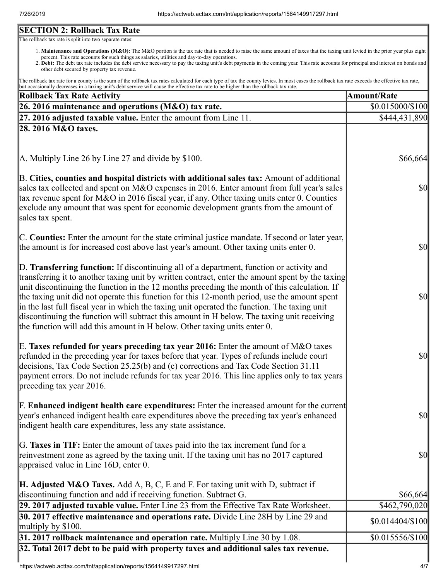# **SECTION 2: Rollback Tax Rate**

The rollback tax rate is split into two separate rates:

- 1. Maintenance and Operations (M&O): The M&O portion is the tax rate that is needed to raise the same amount of taxes that the taxing unit levied in the prior year plus eight percent. This rate accounts for such things as salaries, utilities and day-to-day operations.
- 2. Debt: The debt tax rate includes the debt service necessary to pay the taxing unit's debt payments in the coming year. This rate accounts for principal and interest on bonds and other debt secured by property tax revenue.

The rollback tax rate for a county is the sum of the rollback tax rates calculated for each type of tax the county levies. In most cases the rollback tax rate exceeds the effective tax rate, but occasionally decreases in a taxing unit's debt service will cause the effective tax rate to be higher than the rollback tax rate.

| <b>Rollback Tax Rate Activity</b>                                                                                                                                                                                                                                                                                                                                                                                                                                                                                                                                                                                                                                       | <b>Amount/Rate</b>                  |
|-------------------------------------------------------------------------------------------------------------------------------------------------------------------------------------------------------------------------------------------------------------------------------------------------------------------------------------------------------------------------------------------------------------------------------------------------------------------------------------------------------------------------------------------------------------------------------------------------------------------------------------------------------------------------|-------------------------------------|
| 26. 2016 maintenance and operations (M&O) tax rate.                                                                                                                                                                                                                                                                                                                                                                                                                                                                                                                                                                                                                     | \$0.015000/\$100                    |
| $\left 27, 2016\right.$ adjusted taxable value. Enter the amount from Line 11.                                                                                                                                                                                                                                                                                                                                                                                                                                                                                                                                                                                          | \$444,431,890                       |
| 28. 2016 M&O taxes.                                                                                                                                                                                                                                                                                                                                                                                                                                                                                                                                                                                                                                                     |                                     |
|                                                                                                                                                                                                                                                                                                                                                                                                                                                                                                                                                                                                                                                                         |                                     |
| $\vert$ A. Multiply Line 26 by Line 27 and divide by \$100.                                                                                                                                                                                                                                                                                                                                                                                                                                                                                                                                                                                                             | \$66,664                            |
| B. Cities, counties and hospital districts with additional sales tax: Amount of additional<br>sales tax collected and spent on M&O expenses in 2016. Enter amount from full year's sales<br>tax revenue spent for M&O in 2016 fiscal year, if any. Other taxing units enter 0. Counties<br>exclude any amount that was spent for economic development grants from the amount of<br>sales tax spent.                                                                                                                                                                                                                                                                     | <b>\$0</b>                          |
| C. Counties: Enter the amount for the state criminal justice mandate. If second or later year,<br>the amount is for increased cost above last year's amount. Other taxing units enter 0.                                                                                                                                                                                                                                                                                                                                                                                                                                                                                | <b>\$0</b>                          |
| D. Transferring function: If discontinuing all of a department, function or activity and<br>transferring it to another taxing unit by written contract, enter the amount spent by the taxing<br>unit discontinuing the function in the 12 months preceding the month of this calculation. If<br>the taxing unit did not operate this function for this 12-month period, use the amount spent<br>in the last full fiscal year in which the taxing unit operated the function. The taxing unit<br>discontinuing the function will subtract this amount in H below. The taxing unit receiving<br>the function will add this amount in H below. Other taxing units enter 0. | $ 10\rangle$                        |
| E. Taxes refunded for years preceding tax year 2016: Enter the amount of M&O taxes<br>refunded in the preceding year for taxes before that year. Types of refunds include court<br>decisions, Tax Code Section 25.25(b) and (c) corrections and Tax Code Section 31.11<br>payment errors. Do not include refunds for tax year 2016. This line applies only to tax years<br>preceding tax year 2016.                                                                                                                                                                                                                                                                     | <b>\$0</b>                          |
| <b>F. Enhanced indigent health care expenditures:</b> Enter the increased amount for the current<br>year's enhanced indigent health care expenditures above the preceding tax year's enhanced<br>indigent health care expenditures, less any state assistance.                                                                                                                                                                                                                                                                                                                                                                                                          | $\vert \mathbf{S} \mathbf{0} \vert$ |
| G. Taxes in TIF: Enter the amount of taxes paid into the tax increment fund for a<br>reinvestment zone as agreed by the taxing unit. If the taxing unit has no 2017 captured<br>appraised value in Line 16D, enter 0.                                                                                                                                                                                                                                                                                                                                                                                                                                                   | $\vert \mathbf{S} \mathbf{O} \vert$ |
| <b>H. Adjusted M&amp;O Taxes.</b> Add A, B, C, E and F. For taxing unit with D, subtract if<br>discontinuing function and add if receiving function. Subtract G.                                                                                                                                                                                                                                                                                                                                                                                                                                                                                                        | \$66,664                            |
| 29. 2017 adjusted taxable value. Enter Line 23 from the Effective Tax Rate Worksheet.                                                                                                                                                                                                                                                                                                                                                                                                                                                                                                                                                                                   | \$462,790,020                       |
| 30. 2017 effective maintenance and operations rate. Divide Line 28H by Line 29 and<br>multiply by $$100$ .                                                                                                                                                                                                                                                                                                                                                                                                                                                                                                                                                              | $$0.014404/\$100$                   |
| 31. 2017 rollback maintenance and operation rate. Multiply Line 30 by 1.08.                                                                                                                                                                                                                                                                                                                                                                                                                                                                                                                                                                                             | \$0.015556/\$100                    |
| 32. Total 2017 debt to be paid with property taxes and additional sales tax revenue.                                                                                                                                                                                                                                                                                                                                                                                                                                                                                                                                                                                    |                                     |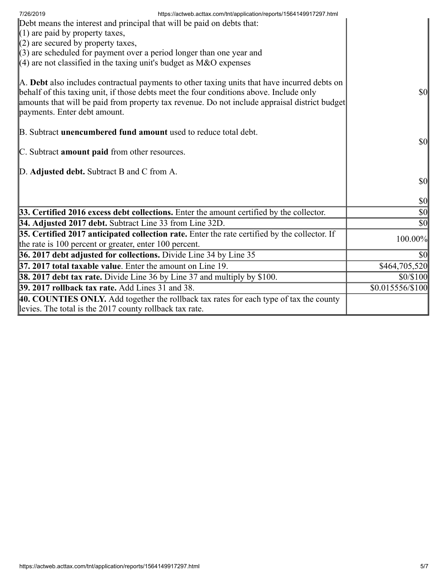| https://actweb.acttax.com/tnt/application/reports/1564149917297.html<br>7/26/2019<br>Debt means the interest and principal that will be paid on debts that:                                                                                                                                                              |                                     |
|--------------------------------------------------------------------------------------------------------------------------------------------------------------------------------------------------------------------------------------------------------------------------------------------------------------------------|-------------------------------------|
| $(1)$ are paid by property taxes,                                                                                                                                                                                                                                                                                        |                                     |
| $(2)$ are secured by property taxes,                                                                                                                                                                                                                                                                                     |                                     |
| $(3)$ are scheduled for payment over a period longer than one year and<br>$(4)$ are not classified in the taxing unit's budget as M&O expenses                                                                                                                                                                           |                                     |
| A. Debt also includes contractual payments to other taxing units that have incurred debts on<br>behalf of this taxing unit, if those debts meet the four conditions above. Include only<br>amounts that will be paid from property tax revenue. Do not include appraisal district budget<br>payments. Enter debt amount. | $\vert \mathbf{S} \mathbf{O} \vert$ |
| B. Subtract <b>unencumbered fund amount</b> used to reduce total debt.                                                                                                                                                                                                                                                   | $\vert \mathbf{S} \mathbf{0} \vert$ |
| C. Subtract amount paid from other resources.                                                                                                                                                                                                                                                                            |                                     |
| D. Adjusted debt. Subtract B and C from A.                                                                                                                                                                                                                                                                               |                                     |
|                                                                                                                                                                                                                                                                                                                          | \$0                                 |
|                                                                                                                                                                                                                                                                                                                          | $ 10\rangle$                        |
| 33. Certified 2016 excess debt collections. Enter the amount certified by the collector.                                                                                                                                                                                                                                 | $\vert \mathbf{S} \mathbf{0} \vert$ |
| 34. Adjusted 2017 debt. Subtract Line 33 from Line 32D.                                                                                                                                                                                                                                                                  | \$0                                 |
| 35. Certified 2017 anticipated collection rate. Enter the rate certified by the collector. If                                                                                                                                                                                                                            | 100.00%                             |
| the rate is 100 percent or greater, enter 100 percent.                                                                                                                                                                                                                                                                   |                                     |
| 36. 2017 debt adjusted for collections. Divide Line 34 by Line 35                                                                                                                                                                                                                                                        | \$0                                 |
| 37. 2017 total taxable value. Enter the amount on Line 19.                                                                                                                                                                                                                                                               | \$464,705,520                       |
| <b>38. 2017 debt tax rate.</b> Divide Line 36 by Line 37 and multiply by \$100.                                                                                                                                                                                                                                          | \$0/\$100                           |
| 39. 2017 rollback tax rate. Add Lines 31 and 38.                                                                                                                                                                                                                                                                         | \$0.015556/\$100                    |
| 40. COUNTIES ONLY. Add together the rollback tax rates for each type of tax the county                                                                                                                                                                                                                                   |                                     |
| levies. The total is the 2017 county rollback tax rate.                                                                                                                                                                                                                                                                  |                                     |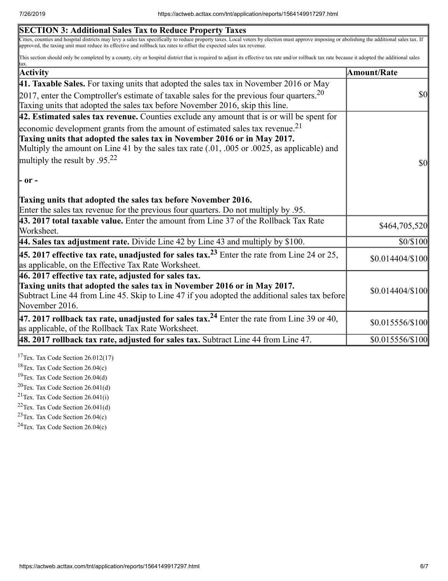| <b>SECTION 3: Additional Sales Tax to Reduce Property Taxes</b>                                                                                                                                                                                                                                                       |                               |
|-----------------------------------------------------------------------------------------------------------------------------------------------------------------------------------------------------------------------------------------------------------------------------------------------------------------------|-------------------------------|
| Cities, counties and hospital districts may levy a sales tax specifically to reduce property taxes. Local voters by election must approve imposing or abolishing the additional sales tax. If<br>approved, the taxing unit must reduce its effective and rollback tax rates to offset the expected sales tax revenue. |                               |
| This section should only be completed by a county, city or hospital district that is required to adjust its effective tax rate and/or rollback tax rate because it adopted the additional sales                                                                                                                       |                               |
| Activity                                                                                                                                                                                                                                                                                                              | Amount/Rate                   |
| 41. Taxable Sales. For taxing units that adopted the sales tax in November 2016 or May                                                                                                                                                                                                                                |                               |
| [2017, enter the Comptroller's estimate of taxable sales for the previous four quarters. <sup>20</sup>                                                                                                                                                                                                                | $\boldsymbol{S}$ O            |
| Taxing units that adopted the sales tax before November 2016, skip this line.                                                                                                                                                                                                                                         |                               |
| $ 42$ . Estimated sales tax revenue. Counties exclude any amount that is or will be spent for                                                                                                                                                                                                                         |                               |
| economic development grants from the amount of estimated sales tax revenue. <sup>21</sup>                                                                                                                                                                                                                             |                               |
| Taxing units that adopted the sales tax in November 2016 or in May 2017.                                                                                                                                                                                                                                              |                               |
| Multiply the amount on Line 41 by the sales tax rate $(.01, .005)$ or $.0025$ , as applicable) and                                                                                                                                                                                                                    |                               |
| multiply the result by .95. <sup>22</sup>                                                                                                                                                                                                                                                                             | $\boldsymbol{S}$ <sub>0</sub> |
| $\mathsf{P}$ or -                                                                                                                                                                                                                                                                                                     |                               |
| Taxing units that adopted the sales tax before November 2016.                                                                                                                                                                                                                                                         |                               |
| Enter the sales tax revenue for the previous four quarters. Do not multiply by .95.                                                                                                                                                                                                                                   |                               |
| 43. 2017 total taxable value. Enter the amount from Line 37 of the Rollback Tax Rate<br>Worksheet.                                                                                                                                                                                                                    | \$464,705,520                 |
| 44. Sales tax adjustment rate. Divide Line 42 by Line 43 and multiply by \$100.                                                                                                                                                                                                                                       | \$0/\$100                     |
| <b>45. 2017 effective tax rate, unadjusted for sales tax.</b> <sup>23</sup> Enter the rate from Line 24 or 25,<br>as applicable, on the Effective Tax Rate Worksheet.                                                                                                                                                 | \$0.014404/\$100              |
| 46. 2017 effective tax rate, adjusted for sales tax.                                                                                                                                                                                                                                                                  |                               |
| Taxing units that adopted the sales tax in November 2016 or in May 2017.<br>Subtract Line 44 from Line 45. Skip to Line 47 if you adopted the additional sales tax before<br>November 2016.                                                                                                                           | \$0.014404/\$100              |
| 47. 2017 rollback tax rate, unadjusted for sales tax. <sup>24</sup> Enter the rate from Line 39 or 40,<br>as applicable, of the Rollback Tax Rate Worksheet.                                                                                                                                                          | \$0.015556/\$100              |
| $\vert$ 48. 2017 rollback tax rate, adjusted for sales tax. Subtract Line 44 from Line 47.                                                                                                                                                                                                                            | \$0.015556/\$100              |
|                                                                                                                                                                                                                                                                                                                       |                               |

 $17$ Tex. Tax Code Section 26.012(17)

<sup>18</sup>Tex. Tax Code Section 26.04(c)

<sup>19</sup>Tex. Tax Code Section 26.04(d)

 $20$ Tex. Tax Code Section 26.041(d)

<sup>21</sup>Tex. Tax Code Section  $26.041(i)$ 

 $22$ Tex. Tax Code Section 26.041(d)

 $23$ Tex. Tax Code Section 26.04(c)

 $24$ Tex. Tax Code Section 26.04(c)